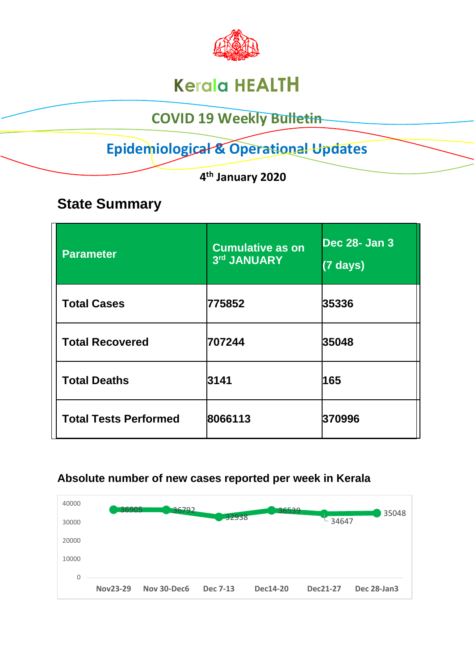

# **Kerala HEALTH**

## **COVID 19 Weekly Bulletin**

# **Epidemiological & Operational Updates**

 **4 th January 2020**

## **State Summary**

| <b>Parameter</b>             | <b>Cumulative as on</b><br>3rd JANUARY | <b>Dec 28- Jan 3</b><br>$(7 \text{ days})$ |
|------------------------------|----------------------------------------|--------------------------------------------|
| <b>Total Cases</b>           | 775852                                 | 35336                                      |
| <b>Total Recovered</b>       | 707244                                 | 35048                                      |
| <b>Total Deaths</b>          | 3141                                   | 165                                        |
| <b>Total Tests Performed</b> | 8066113                                | 370996                                     |

#### **Absolute number of new cases reported per week in Kerala**

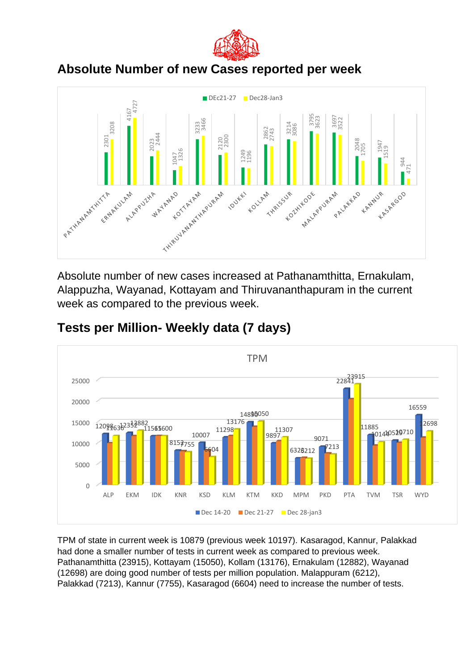

### **Absolute Number of new Cases reported per week**



Absolute number of new cases increased at Pathanamthitta, Ernakulam, Alappuzha, Wayanad, Kottayam and Thiruvananthapuram in the current week as compared to the previous week.



#### **Tests per Million- Weekly data (7 days)**

TPM of state in current week is 10879 (previous week 10197). Kasaragod, Kannur, Palakkad had done a smaller number of tests in current week as compared to previous week. Pathanamthitta (23915), Kottayam (15050), Kollam (13176), Ernakulam (12882), Wayanad (12698) are doing good number of tests per million population. Malappuram (6212),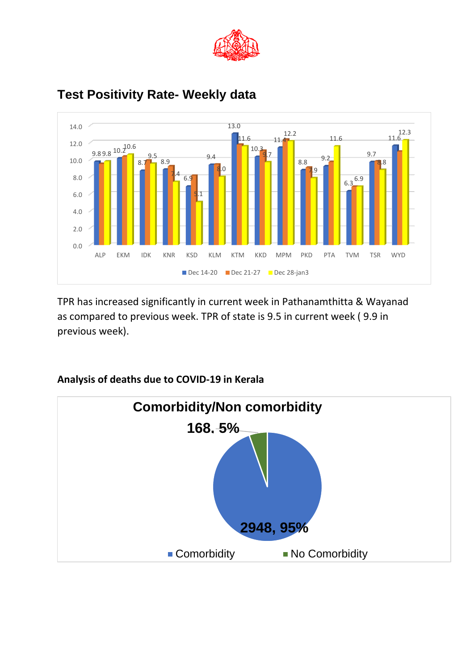



### **Test Positivity Rate- Weekly data**

TPR has increased significantly in current week in Pathanamthitta & Wayanad as compared to previous week. TPR of state is 9.5 in current week ( 9.9 in previous week).



#### **Analysis of deaths due to COVID-19 in Kerala**